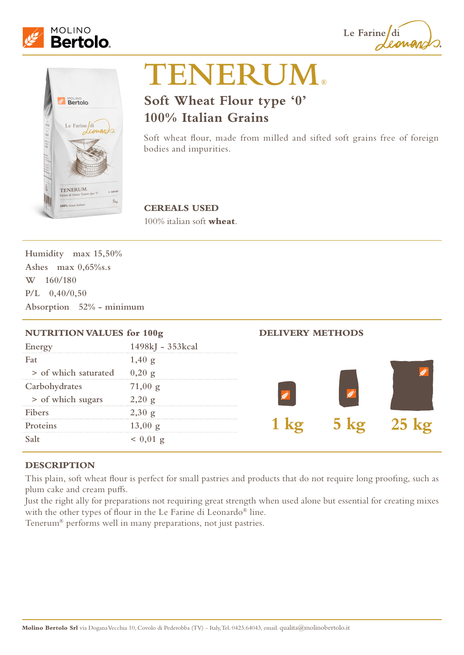





# **TENERUM®**

## **Soft Wheat Flour type '0' 100% Italian Grains**

Soft wheat flour, made from milled and sifted soft grains free of foreign bodies and impurities.

### **CEREALS USED**

100% italian soft **wheat**.

**Humidity max 15,50% Ashes max 0,65%s.s W 160/180 P/L 0,40/0,50 Absorption 52% - minimum**

| <b>NUTRITION VALUES for 100g</b> |                   | <b>DELIVERY METHODS</b> |  |  |
|----------------------------------|-------------------|-------------------------|--|--|
| Energy                           | 1498kJ - 353kcal  |                         |  |  |
| Fat                              | ,40 g             |                         |  |  |
| > of which saturated             |                   |                         |  |  |
| Carbohydrates                    | 71,00 g           |                         |  |  |
| > of which sugars                |                   |                         |  |  |
| Fihers                           |                   |                         |  |  |
| Proteins                         | $13,00 \text{ g}$ |                         |  |  |
|                                  |                   |                         |  |  |

#### **DESCRIPTION**

This plain, soft wheat flour is perfect for small pastries and products that do not require long proofing, such as plum cake and cream puffs.

Just the right ally for preparations not requiring great strength when used alone but essential for creating mixes with the other types of flour in the Le Farine di Leonardo® line.

Tenerum® performs well in many preparations, not just pastries.